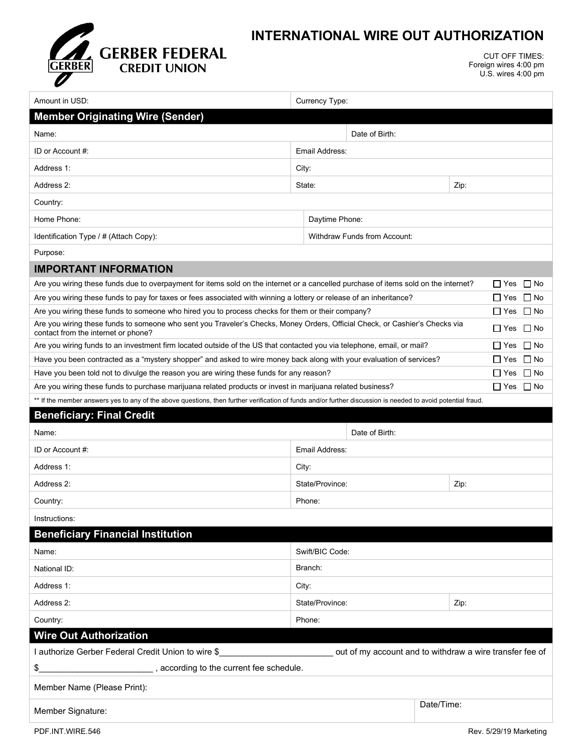

## **INTERNATIONAL WIRE OUT AUTHORIZATION**

CUT OFF TIMES: Foreign wires 4:00 pm U.S. wires 4:00 pm

| Amount in USD:                                                                                                                                                                           | Currency Type:                      |                |                      |                            |  |  |
|------------------------------------------------------------------------------------------------------------------------------------------------------------------------------------------|-------------------------------------|----------------|----------------------|----------------------------|--|--|
| <b>Member Originating Wire (Sender)</b>                                                                                                                                                  |                                     |                |                      |                            |  |  |
| Name:                                                                                                                                                                                    |                                     | Date of Birth: |                      |                            |  |  |
| ID or Account #:                                                                                                                                                                         | Email Address:                      |                |                      |                            |  |  |
| Address 1:                                                                                                                                                                               | City:                               |                |                      |                            |  |  |
| Address 2:                                                                                                                                                                               | State:<br>Zip:                      |                |                      |                            |  |  |
| Country:                                                                                                                                                                                 |                                     |                |                      |                            |  |  |
| Home Phone:                                                                                                                                                                              | Daytime Phone:                      |                |                      |                            |  |  |
| Identification Type / # (Attach Copy):                                                                                                                                                   | <b>Withdraw Funds from Account:</b> |                |                      |                            |  |  |
| Purpose:                                                                                                                                                                                 |                                     |                |                      |                            |  |  |
| <b>IMPORTANT INFORMATION</b>                                                                                                                                                             |                                     |                |                      |                            |  |  |
| Are you wiring these funds due to overpayment for items sold on the internet or a cancelled purchase of items sold on the internet?                                                      |                                     |                |                      | ∐ Yes ∐ No                 |  |  |
| Are you wiring these funds to pay for taxes or fees associated with winning a lottery or release of an inheritance?                                                                      |                                     |                | $\Box$ Yes $\Box$ No |                            |  |  |
| Are you wiring these funds to someone who hired you to process checks for them or their company?                                                                                         |                                     |                |                      | $\square$ Yes<br>$\Box$ No |  |  |
| Are you wiring these funds to someone who sent you Traveler's Checks, Money Orders, Official Check, or Cashier's Checks via<br>$\Box$ No<br>∐ Yes<br>contact from the internet or phone? |                                     |                |                      |                            |  |  |
| Are you wiring funds to an investment firm located outside of the US that contacted you via telephone, email, or mail?<br>$\Box$ Yes<br>$\Box$ No                                        |                                     |                |                      |                            |  |  |
| Have you been contracted as a "mystery shopper" and asked to wire money back along with your evaluation of services?<br>$\Box$ No<br>$\Box$ Yes                                          |                                     |                |                      |                            |  |  |
| Have you been told not to divulge the reason you are wiring these funds for any reason?                                                                                                  |                                     |                |                      | $\Box$ No<br>∐ Yes         |  |  |
| Are you wiring these funds to purchase marijuana related products or invest in marijuana related business?                                                                               |                                     |                |                      | □ Yes □ No                 |  |  |
| ** If the member answers yes to any of the above questions, then further verification of funds and/or further discussion is needed to avoid potential fraud.                             |                                     |                |                      |                            |  |  |
| <b>Beneficiary: Final Credit</b>                                                                                                                                                         |                                     |                |                      |                            |  |  |
| Name:                                                                                                                                                                                    |                                     | Date of Birth: |                      |                            |  |  |
| ID or Account #:                                                                                                                                                                         | Email Address:                      |                |                      |                            |  |  |
| Address 1:                                                                                                                                                                               | City:                               |                |                      |                            |  |  |
| Address 2:                                                                                                                                                                               | State/Province:                     |                |                      | Zip:                       |  |  |
| Country:                                                                                                                                                                                 | Phone:                              |                |                      |                            |  |  |
| Instructions:                                                                                                                                                                            |                                     |                |                      |                            |  |  |
| <b>Beneficiary Financial Institution</b>                                                                                                                                                 |                                     |                |                      |                            |  |  |
| Name:                                                                                                                                                                                    | Swift/BIC Code:                     |                |                      |                            |  |  |
| National ID:                                                                                                                                                                             | Branch:                             |                |                      |                            |  |  |
| Address 1:                                                                                                                                                                               | City:                               |                |                      |                            |  |  |
| Address 2:                                                                                                                                                                               | State/Province:<br>Zip:             |                |                      |                            |  |  |
| Country:                                                                                                                                                                                 | Phone:                              |                |                      |                            |  |  |
| <b>Wire Out Authorization</b>                                                                                                                                                            |                                     |                |                      |                            |  |  |
| I authorize Gerber Federal Credit Union to wire \$<br>out of my account and to withdraw a wire transfer fee of                                                                           |                                     |                |                      |                            |  |  |
| \$                                                                                                                                                                                       |                                     |                |                      |                            |  |  |
| Member Name (Please Print):                                                                                                                                                              |                                     |                |                      |                            |  |  |
| Member Signature:                                                                                                                                                                        | Date/Time:                          |                |                      |                            |  |  |
|                                                                                                                                                                                          |                                     |                |                      |                            |  |  |